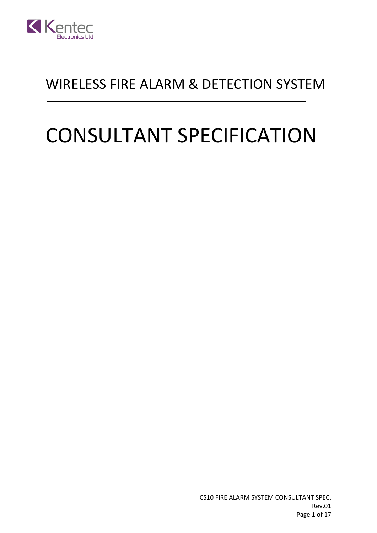

## WIRELESS FIRE ALARM & DETECTION SYSTEM

# CONSULTANT SPECIFICATION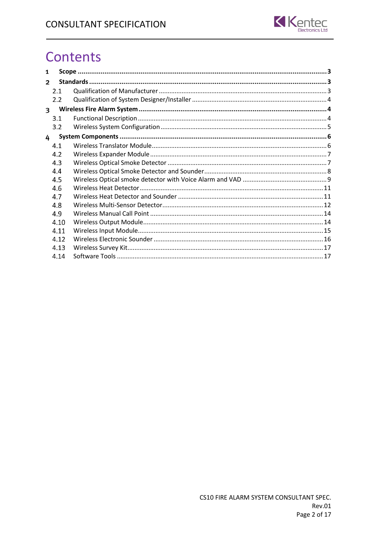

# **Contents**

| 1                       |      |  |  |  |
|-------------------------|------|--|--|--|
| $\overline{\mathbf{c}}$ |      |  |  |  |
|                         | 2.1  |  |  |  |
|                         | 2.2  |  |  |  |
| $\overline{\mathbf{3}}$ |      |  |  |  |
|                         | 3.1  |  |  |  |
|                         | 3.2  |  |  |  |
| 4                       |      |  |  |  |
|                         | 4.1  |  |  |  |
|                         | 4.2  |  |  |  |
|                         | 4.3  |  |  |  |
|                         | 4.4  |  |  |  |
|                         | 4.5  |  |  |  |
|                         | 4.6  |  |  |  |
|                         | 4.7  |  |  |  |
|                         | 4.8  |  |  |  |
|                         | 4.9  |  |  |  |
|                         | 4.10 |  |  |  |
|                         | 4.11 |  |  |  |
|                         | 4.12 |  |  |  |
|                         | 4.13 |  |  |  |
|                         | 4.14 |  |  |  |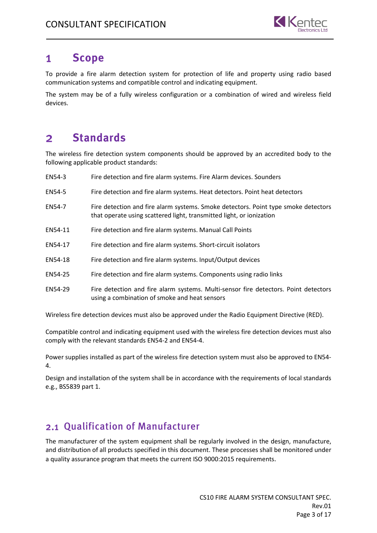

#### <span id="page-2-0"></span> $\mathbf{1}$ **Scope**

To provide a fire alarm detection system for protection of life and property using radio based communication systems and compatible control and indicating equipment.

The system may be of a fully wireless configuration or a combination of wired and wireless field devices.

#### <span id="page-2-1"></span>**Standards**  $\overline{2}$

The wireless fire detection system components should be approved by an accredited body to the following applicable product standards:

| EN54-3  | Fire detection and fire alarm systems. Fire Alarm devices. Sounders                                                                                        |
|---------|------------------------------------------------------------------------------------------------------------------------------------------------------------|
| EN54-5  | Fire detection and fire alarm systems. Heat detectors. Point heat detectors                                                                                |
| EN54-7  | Fire detection and fire alarm systems. Smoke detectors. Point type smoke detectors<br>that operate using scattered light, transmitted light, or ionization |
| EN54-11 | Fire detection and fire alarm systems. Manual Call Points                                                                                                  |
| EN54-17 | Fire detection and fire alarm systems. Short-circuit isolators                                                                                             |
| EN54-18 | Fire detection and fire alarm systems. Input/Output devices                                                                                                |
| EN54-25 | Fire detection and fire alarm systems. Components using radio links                                                                                        |
| EN54-29 | Fire detection and fire alarm systems. Multi-sensor fire detectors. Point detectors<br>using a combination of smoke and heat sensors                       |

Wireless fire detection devices must also be approved under the Radio Equipment Directive (RED).

Compatible control and indicating equipment used with the wireless fire detection devices must also comply with the relevant standards EN54-2 and EN54-4.

Power supplies installed as part of the wireless fire detection system must also be approved to EN54- 4.

Design and installation of the system shall be in accordance with the requirements of local standards e.g., BS5839 part 1.

#### <span id="page-2-2"></span>2.1 Qualification of Manufacturer

The manufacturer of the system equipment shall be regularly involved in the design, manufacture, and distribution of all products specified in this document. These processes shall be monitored under a quality assurance program that meets the current ISO 9000:2015 requirements.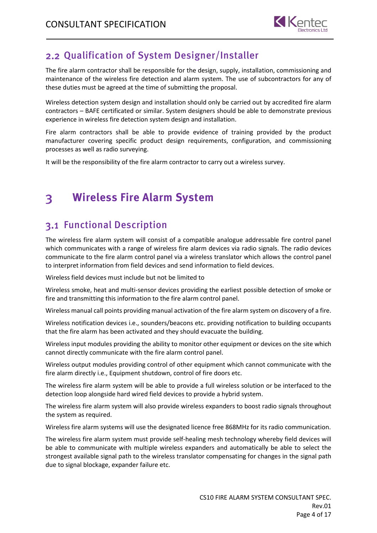

## <span id="page-3-0"></span>2.2 Qualification of System Designer/Installer

The fire alarm contractor shall be responsible for the design, supply, installation, commissioning and maintenance of the wireless fire detection and alarm system. The use of subcontractors for any of these duties must be agreed at the time of submitting the proposal.

Wireless detection system design and installation should only be carried out by accredited fire alarm contractors – BAFE certificated or similar. System designers should be able to demonstrate previous experience in wireless fire detection system design and installation.

Fire alarm contractors shall be able to provide evidence of training provided by the product manufacturer covering specific product design requirements, configuration, and commissioning processes as well as radio surveying.

It will be the responsibility of the fire alarm contractor to carry out a wireless survey.

#### <span id="page-3-1"></span>**Wireless Fire Alarm System**  $\overline{\mathbf{3}}$

## <span id="page-3-2"></span>3.1 Functional Description

The wireless fire alarm system will consist of a compatible analogue addressable fire control panel which communicates with a range of wireless fire alarm devices via radio signals. The radio devices communicate to the fire alarm control panel via a wireless translator which allows the control panel to interpret information from field devices and send information to field devices.

Wireless field devices must include but not be limited to

Wireless smoke, heat and multi-sensor devices providing the earliest possible detection of smoke or fire and transmitting this information to the fire alarm control panel.

Wireless manual call points providing manual activation of the fire alarm system on discovery of a fire.

Wireless notification devices i.e., sounders/beacons etc. providing notification to building occupants that the fire alarm has been activated and they should evacuate the building.

Wireless input modules providing the ability to monitor other equipment or devices on the site which cannot directly communicate with the fire alarm control panel.

Wireless output modules providing control of other equipment which cannot communicate with the fire alarm directly i.e., Equipment shutdown, control of fire doors etc.

The wireless fire alarm system will be able to provide a full wireless solution or be interfaced to the detection loop alongside hard wired field devices to provide a hybrid system.

The wireless fire alarm system will also provide wireless expanders to boost radio signals throughout the system as required.

Wireless fire alarm systems will use the designated licence free 868MHz for its radio communication.

The wireless fire alarm system must provide self-healing mesh technology whereby field devices will be able to communicate with multiple wireless expanders and automatically be able to select the strongest available signal path to the wireless translator compensating for changes in the signal path due to signal blockage, expander failure etc.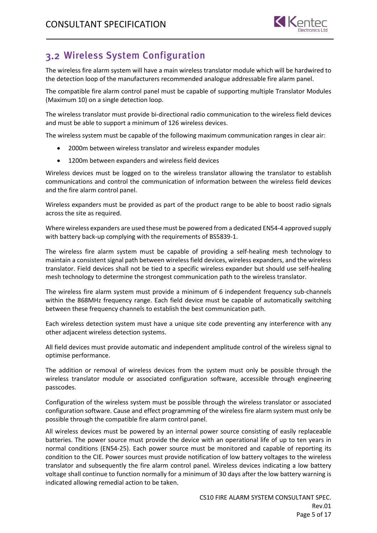

## <span id="page-4-0"></span>Wireless System Configuration

The wireless fire alarm system will have a main wireless translator module which will be hardwired to the detection loop of the manufacturers recommended analogue addressable fire alarm panel.

The compatible fire alarm control panel must be capable of supporting multiple Translator Modules (Maximum 10) on a single detection loop.

The wireless translator must provide bi-directional radio communication to the wireless field devices and must be able to support a minimum of 126 wireless devices.

The wireless system must be capable of the following maximum communication ranges in clear air:

- 2000m between wireless translator and wireless expander modules
- 1200m between expanders and wireless field devices

Wireless devices must be logged on to the wireless translator allowing the translator to establish communications and control the communication of information between the wireless field devices and the fire alarm control panel.

Wireless expanders must be provided as part of the product range to be able to boost radio signals across the site as required.

Where wireless expanders are used these must be powered from a dedicated EN54-4 approved supply with battery back-up complying with the requirements of BS5839-1.

The wireless fire alarm system must be capable of providing a self-healing mesh technology to maintain a consistent signal path between wireless field devices, wireless expanders, and the wireless translator. Field devices shall not be tied to a specific wireless expander but should use self-healing mesh technology to determine the strongest communication path to the wireless translator.

The wireless fire alarm system must provide a minimum of 6 independent frequency sub-channels within the 868MHz frequency range. Each field device must be capable of automatically switching between these frequency channels to establish the best communication path.

Each wireless detection system must have a unique site code preventing any interference with any other adjacent wireless detection systems.

All field devices must provide automatic and independent amplitude control of the wireless signal to optimise performance.

The addition or removal of wireless devices from the system must only be possible through the wireless translator module or associated configuration software, accessible through engineering passcodes.

Configuration of the wireless system must be possible through the wireless translator or associated configuration software. Cause and effect programming of the wireless fire alarm system must only be possible through the compatible fire alarm control panel.

All wireless devices must be powered by an internal power source consisting of easily replaceable batteries. The power source must provide the device with an operational life of up to ten years in normal conditions (EN54-25). Each power source must be monitored and capable of reporting its condition to the CIE. Power sources must provide notification of low battery voltages to the wireless translator and subsequently the fire alarm control panel. Wireless devices indicating a low battery voltage shall continue to function normally for a minimum of 30 days after the low battery warning is indicated allowing remedial action to be taken.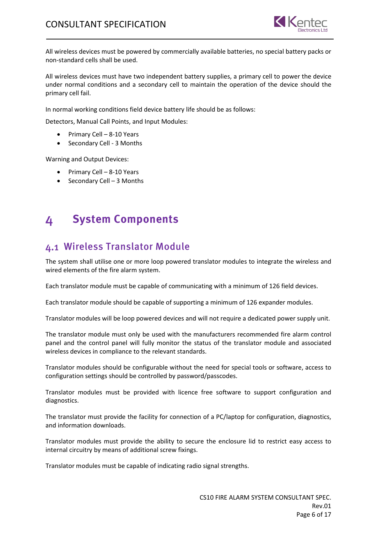

All wireless devices must be powered by commercially available batteries, no special battery packs or non-standard cells shall be used.

All wireless devices must have two independent battery supplies, a primary cell to power the device under normal conditions and a secondary cell to maintain the operation of the device should the primary cell fail.

In normal working conditions field device battery life should be as follows:

Detectors, Manual Call Points, and Input Modules:

- Primary Cell 8-10 Years
- Secondary Cell 3 Months

Warning and Output Devices:

- Primary Cell 8-10 Years
- Secondary Cell 3 Months

#### <span id="page-5-0"></span>**System Components** 4

#### <span id="page-5-1"></span>Wireless Translator Module

The system shall utilise one or more loop powered translator modules to integrate the wireless and wired elements of the fire alarm system.

Each translator module must be capable of communicating with a minimum of 126 field devices.

Each translator module should be capable of supporting a minimum of 126 expander modules.

Translator modules will be loop powered devices and will not require a dedicated power supply unit.

The translator module must only be used with the manufacturers recommended fire alarm control panel and the control panel will fully monitor the status of the translator module and associated wireless devices in compliance to the relevant standards.

Translator modules should be configurable without the need for special tools or software, access to configuration settings should be controlled by password/passcodes.

Translator modules must be provided with licence free software to support configuration and diagnostics.

The translator must provide the facility for connection of a PC/laptop for configuration, diagnostics, and information downloads.

Translator modules must provide the ability to secure the enclosure lid to restrict easy access to internal circuitry by means of additional screw fixings.

Translator modules must be capable of indicating radio signal strengths.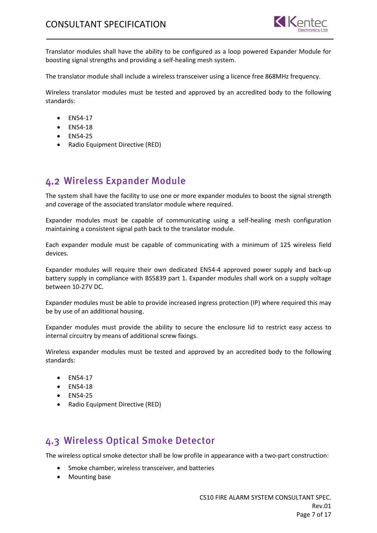

Translator modules shall have the ability to be configured as a loop powered Expander Module for boosting signal strengths and providing a self-healing mesh system.

The translator module shall include a wireless transceiver using a licence free 868MHz frequency.

Wireless translator modules must be tested and approved by an accredited body to the following standards:

- EN54-17
- EN54-18
- EN54-25
- Radio Equipment Directive (RED)

## <span id="page-6-0"></span>Wireless Expander Module

The system shall have the facility to use one or more expander modules to boost the signal strength and coverage of the associated translator module where required.

Expander modules must be capable of communicating using a self-healing mesh configuration maintaining a consistent signal path back to the translator module.

Each expander module must be capable of communicating with a minimum of 125 wireless field devices.

Expander modules will require their own dedicated EN54-4 approved power supply and back-up battery supply in compliance with BS5839 part 1. Expander modules shall work on a supply voltage between 10-27V DC.

Expander modules must be able to provide increased ingress protection (IP) where required this may be by use of an additional housing.

Expander modules must provide the ability to secure the enclosure lid to restrict easy access to internal circuitry by means of additional screw fixings.

Wireless expander modules must be tested and approved by an accredited body to the following standards:

- EN54-17
- EN54-18
- EN54-25
- Radio Equipment Directive (RED)

#### <span id="page-6-1"></span>Wireless Optical Smoke Detector

The wireless optical smoke detector shall be low profile in appearance with a two-part construction:

- Smoke chamber, wireless transceiver, and batteries
- Mounting base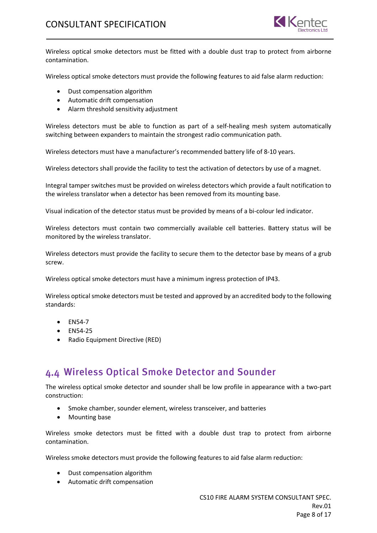

Wireless optical smoke detectors must be fitted with a double dust trap to protect from airborne contamination.

Wireless optical smoke detectors must provide the following features to aid false alarm reduction:

- Dust compensation algorithm
- Automatic drift compensation
- Alarm threshold sensitivity adjustment

Wireless detectors must be able to function as part of a self-healing mesh system automatically switching between expanders to maintain the strongest radio communication path.

Wireless detectors must have a manufacturer's recommended battery life of 8-10 years.

Wireless detectors shall provide the facility to test the activation of detectors by use of a magnet.

Integral tamper switches must be provided on wireless detectors which provide a fault notification to the wireless translator when a detector has been removed from its mounting base.

Visual indication of the detector status must be provided by means of a bi-colour led indicator.

Wireless detectors must contain two commercially available cell batteries. Battery status will be monitored by the wireless translator.

Wireless detectors must provide the facility to secure them to the detector base by means of a grub screw.

Wireless optical smoke detectors must have a minimum ingress protection of IP43.

Wireless optical smoke detectors must be tested and approved by an accredited body to the following standards:

- EN54-7
- EN54-25
- Radio Equipment Directive (RED)

#### <span id="page-7-0"></span>Wireless Optical Smoke Detector and Sounder

The wireless optical smoke detector and sounder shall be low profile in appearance with a two-part construction:

- Smoke chamber, sounder element, wireless transceiver, and batteries
- Mounting base

Wireless smoke detectors must be fitted with a double dust trap to protect from airborne contamination.

Wireless smoke detectors must provide the following features to aid false alarm reduction:

- Dust compensation algorithm
- Automatic drift compensation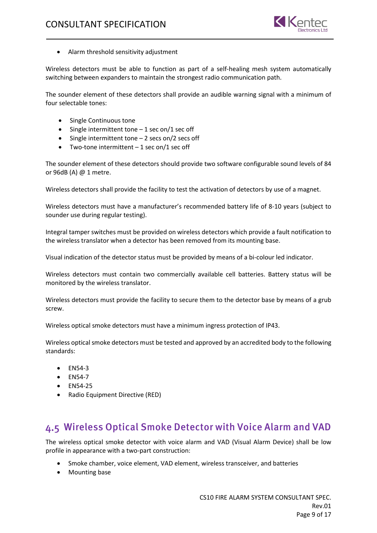

• Alarm threshold sensitivity adjustment

Wireless detectors must be able to function as part of a self-healing mesh system automatically switching between expanders to maintain the strongest radio communication path.

The sounder element of these detectors shall provide an audible warning signal with a minimum of four selectable tones:

- Single Continuous tone
- Single intermittent tone  $-1$  sec on/1 sec off
- Single intermittent tone  $-2$  secs on/2 secs off
- Two-tone intermittent  $-1$  sec on/1 sec off

The sounder element of these detectors should provide two software configurable sound levels of 84 or 96dB (A) @ 1 metre.

Wireless detectors shall provide the facility to test the activation of detectors by use of a magnet.

Wireless detectors must have a manufacturer's recommended battery life of 8-10 years (subject to sounder use during regular testing).

Integral tamper switches must be provided on wireless detectors which provide a fault notification to the wireless translator when a detector has been removed from its mounting base.

Visual indication of the detector status must be provided by means of a bi-colour led indicator.

Wireless detectors must contain two commercially available cell batteries. Battery status will be monitored by the wireless translator.

Wireless detectors must provide the facility to secure them to the detector base by means of a grub screw.

Wireless optical smoke detectors must have a minimum ingress protection of IP43.

Wireless optical smoke detectors must be tested and approved by an accredited body to the following standards:

- EN54-3
- EN54-7
- EN54-25
- Radio Equipment Directive (RED)

#### <span id="page-8-0"></span>Wireless Optical Smoke Detector with Voice Alarm and VAD

The wireless optical smoke detector with voice alarm and VAD (Visual Alarm Device) shall be low profile in appearance with a two-part construction:

- Smoke chamber, voice element, VAD element, wireless transceiver, and batteries
- Mounting base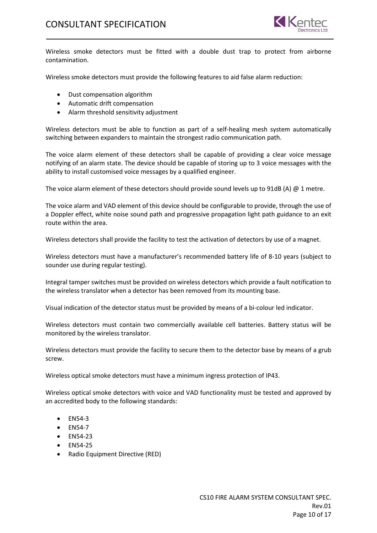

Wireless smoke detectors must be fitted with a double dust trap to protect from airborne contamination.

Wireless smoke detectors must provide the following features to aid false alarm reduction:

- Dust compensation algorithm
- Automatic drift compensation
- Alarm threshold sensitivity adjustment

Wireless detectors must be able to function as part of a self-healing mesh system automatically switching between expanders to maintain the strongest radio communication path.

The voice alarm element of these detectors shall be capable of providing a clear voice message notifying of an alarm state. The device should be capable of storing up to 3 voice messages with the ability to install customised voice messages by a qualified engineer.

The voice alarm element of these detectors should provide sound levels up to 91dB (A)  $@$  1 metre.

The voice alarm and VAD element of this device should be configurable to provide, through the use of a Doppler effect, white noise sound path and progressive propagation light path guidance to an exit route within the area.

Wireless detectors shall provide the facility to test the activation of detectors by use of a magnet.

Wireless detectors must have a manufacturer's recommended battery life of 8-10 years (subject to sounder use during regular testing).

Integral tamper switches must be provided on wireless detectors which provide a fault notification to the wireless translator when a detector has been removed from its mounting base.

Visual indication of the detector status must be provided by means of a bi-colour led indicator.

Wireless detectors must contain two commercially available cell batteries. Battery status will be monitored by the wireless translator.

Wireless detectors must provide the facility to secure them to the detector base by means of a grub screw.

Wireless optical smoke detectors must have a minimum ingress protection of IP43.

Wireless optical smoke detectors with voice and VAD functionality must be tested and approved by an accredited body to the following standards:

- EN54-3
- EN54-7
- EN54-23
- EN54-25
- Radio Equipment Directive (RED)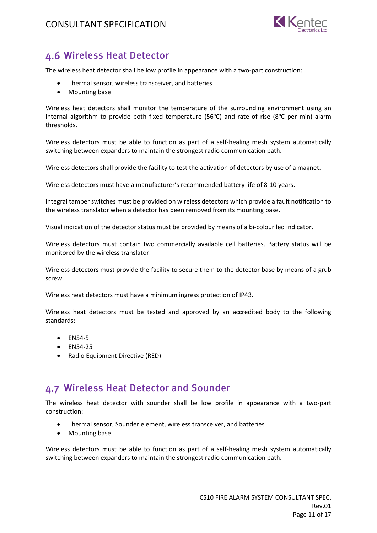

#### <span id="page-10-0"></span>Wireless Heat Detector

The wireless heat detector shall be low profile in appearance with a two-part construction:

- Thermal sensor, wireless transceiver, and batteries
- Mounting base

Wireless heat detectors shall monitor the temperature of the surrounding environment using an internal algorithm to provide both fixed temperature (56°C) and rate of rise (8°C per min) alarm thresholds.

Wireless detectors must be able to function as part of a self-healing mesh system automatically switching between expanders to maintain the strongest radio communication path.

Wireless detectors shall provide the facility to test the activation of detectors by use of a magnet.

Wireless detectors must have a manufacturer's recommended battery life of 8-10 years.

Integral tamper switches must be provided on wireless detectors which provide a fault notification to the wireless translator when a detector has been removed from its mounting base.

Visual indication of the detector status must be provided by means of a bi-colour led indicator.

Wireless detectors must contain two commercially available cell batteries. Battery status will be monitored by the wireless translator.

Wireless detectors must provide the facility to secure them to the detector base by means of a grub screw.

Wireless heat detectors must have a minimum ingress protection of IP43.

Wireless heat detectors must be tested and approved by an accredited body to the following standards:

- EN54-5
- EN54-25
- Radio Equipment Directive (RED)

#### <span id="page-10-1"></span>Wireless Heat Detector and Sounder

The wireless heat detector with sounder shall be low profile in appearance with a two-part construction:

- Thermal sensor, Sounder element, wireless transceiver, and batteries
- Mounting base

Wireless detectors must be able to function as part of a self-healing mesh system automatically switching between expanders to maintain the strongest radio communication path.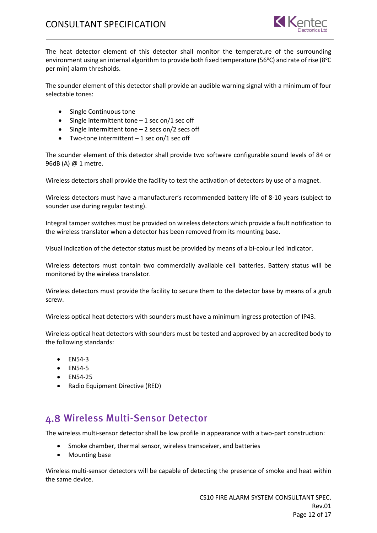

The heat detector element of this detector shall monitor the temperature of the surrounding environment using an internal algorithm to provide both fixed temperature (56°C) and rate of rise (8°C per min) alarm thresholds.

The sounder element of this detector shall provide an audible warning signal with a minimum of four selectable tones:

- Single Continuous tone
- Single intermittent tone  $-1$  sec on/1 sec off
- Single intermittent tone  $-2$  secs on/2 secs off
- Two-tone intermittent  $-1$  sec on/1 sec off

The sounder element of this detector shall provide two software configurable sound levels of 84 or 96dB (A) @ 1 metre.

Wireless detectors shall provide the facility to test the activation of detectors by use of a magnet.

Wireless detectors must have a manufacturer's recommended battery life of 8-10 years (subject to sounder use during regular testing).

Integral tamper switches must be provided on wireless detectors which provide a fault notification to the wireless translator when a detector has been removed from its mounting base.

Visual indication of the detector status must be provided by means of a bi-colour led indicator.

Wireless detectors must contain two commercially available cell batteries. Battery status will be monitored by the wireless translator.

Wireless detectors must provide the facility to secure them to the detector base by means of a grub screw.

Wireless optical heat detectors with sounders must have a minimum ingress protection of IP43.

Wireless optical heat detectors with sounders must be tested and approved by an accredited body to the following standards:

- EN54-3
- EN54-5
- EN54-25
- Radio Equipment Directive (RED)

#### <span id="page-11-0"></span>Wireless Multi-Sensor Detector

The wireless multi-sensor detector shall be low profile in appearance with a two-part construction:

- Smoke chamber, thermal sensor, wireless transceiver, and batteries
- Mounting base

Wireless multi-sensor detectors will be capable of detecting the presence of smoke and heat within the same device.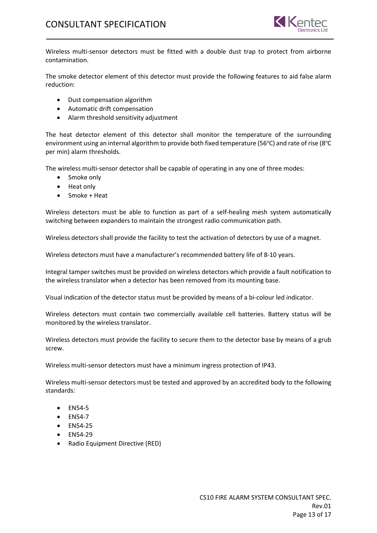

Wireless multi-sensor detectors must be fitted with a double dust trap to protect from airborne contamination.

The smoke detector element of this detector must provide the following features to aid false alarm reduction:

- Dust compensation algorithm
- Automatic drift compensation
- Alarm threshold sensitivity adjustment

The heat detector element of this detector shall monitor the temperature of the surrounding environment using an internal algorithm to provide both fixed temperature (56°C) and rate of rise (8°C per min) alarm thresholds.

The wireless multi-sensor detector shall be capable of operating in any one of three modes:

- Smoke only
- Heat only
- Smoke + Heat

Wireless detectors must be able to function as part of a self-healing mesh system automatically switching between expanders to maintain the strongest radio communication path.

Wireless detectors shall provide the facility to test the activation of detectors by use of a magnet.

Wireless detectors must have a manufacturer's recommended battery life of 8-10 years.

Integral tamper switches must be provided on wireless detectors which provide a fault notification to the wireless translator when a detector has been removed from its mounting base.

Visual indication of the detector status must be provided by means of a bi-colour led indicator.

Wireless detectors must contain two commercially available cell batteries. Battery status will be monitored by the wireless translator.

Wireless detectors must provide the facility to secure them to the detector base by means of a grub screw.

Wireless multi-sensor detectors must have a minimum ingress protection of IP43.

Wireless multi-sensor detectors must be tested and approved by an accredited body to the following standards:

- EN54-5
- EN54-7
- EN54-25
- EN54-29
- Radio Equipment Directive (RED)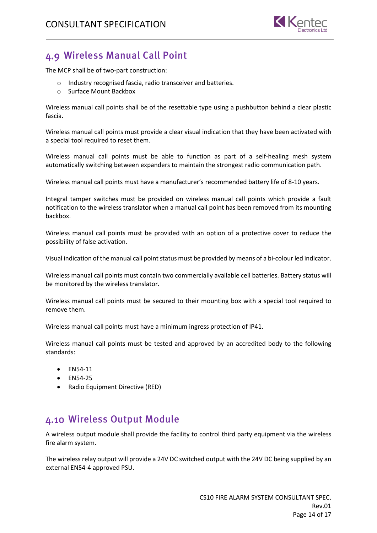

#### <span id="page-13-0"></span>Wireless Manual Call Point

The MCP shall be of two-part construction:

- o Industry recognised fascia, radio transceiver and batteries.
- o Surface Mount Backbox

Wireless manual call points shall be of the resettable type using a pushbutton behind a clear plastic fascia.

Wireless manual call points must provide a clear visual indication that they have been activated with a special tool required to reset them.

Wireless manual call points must be able to function as part of a self-healing mesh system automatically switching between expanders to maintain the strongest radio communication path.

Wireless manual call points must have a manufacturer's recommended battery life of 8-10 years.

Integral tamper switches must be provided on wireless manual call points which provide a fault notification to the wireless translator when a manual call point has been removed from its mounting backbox.

Wireless manual call points must be provided with an option of a protective cover to reduce the possibility of false activation.

Visual indication of the manual call point status must be provided by means of a bi-colour led indicator.

Wireless manual call points must contain two commercially available cell batteries. Battery status will be monitored by the wireless translator.

Wireless manual call points must be secured to their mounting box with a special tool required to remove them.

Wireless manual call points must have a minimum ingress protection of IP41.

Wireless manual call points must be tested and approved by an accredited body to the following standards:

- EN54-11
- EN54-25
- Radio Equipment Directive (RED)

#### <span id="page-13-1"></span>Wireless Output Module

A wireless output module shall provide the facility to control third party equipment via the wireless fire alarm system.

The wireless relay output will provide a 24V DC switched output with the 24V DC being supplied by an external EN54-4 approved PSU.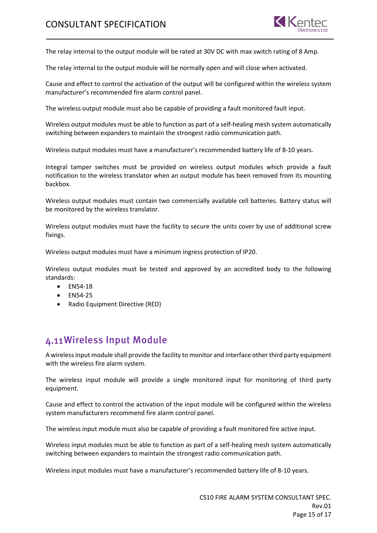

The relay internal to the output module will be rated at 30V DC with max switch rating of 8 Amp.

The relay internal to the output module will be normally open and will close when activated.

Cause and effect to control the activation of the output will be configured within the wireless system manufacturer's recommended fire alarm control panel.

The wireless output module must also be capable of providing a fault monitored fault input.

Wireless output modules must be able to function as part of a self-healing mesh system automatically switching between expanders to maintain the strongest radio communication path.

Wireless output modules must have a manufacturer's recommended battery life of 8-10 years.

Integral tamper switches must be provided on wireless output modules which provide a fault notification to the wireless translator when an output module has been removed from its mounting backbox.

Wireless output modules must contain two commercially available cell batteries. Battery status will be monitored by the wireless translator.

Wireless output modules must have the facility to secure the units cover by use of additional screw fixings.

Wireless output modules must have a minimum ingress protection of IP20.

Wireless output modules must be tested and approved by an accredited body to the following standards:

- EN54-18
- EN54-25
- Radio Equipment Directive (RED)

#### <span id="page-14-0"></span>Wireless Input Module

A wirelessinput module shall provide the facility to monitor and interface other third party equipment with the wireless fire alarm system.

The wireless input module will provide a single monitored input for monitoring of third party equipment.

Cause and effect to control the activation of the input module will be configured within the wireless system manufacturers recommend fire alarm control panel.

The wireless input module must also be capable of providing a fault monitored fire active input.

Wireless input modules must be able to function as part of a self-healing mesh system automatically switching between expanders to maintain the strongest radio communication path.

Wireless input modules must have a manufacturer's recommended battery life of 8-10 years.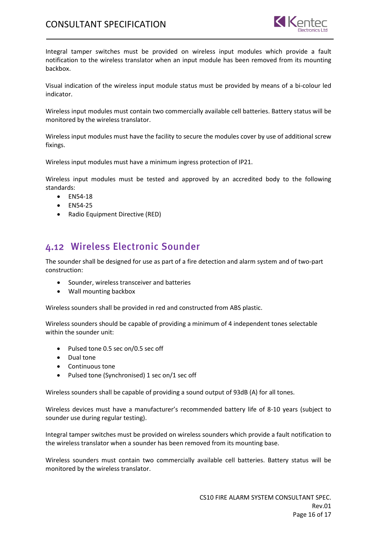#### CONSULTANT SPECIFICATION



Integral tamper switches must be provided on wireless input modules which provide a fault notification to the wireless translator when an input module has been removed from its mounting backbox.

Visual indication of the wireless input module status must be provided by means of a bi-colour led indicator.

Wireless input modules must contain two commercially available cell batteries. Battery status will be monitored by the wireless translator.

Wireless input modules must have the facility to secure the modules cover by use of additional screw fixings.

Wireless input modules must have a minimum ingress protection of IP21.

Wireless input modules must be tested and approved by an accredited body to the following standards:

- EN54-18
- EN54-25
- <span id="page-15-0"></span>• Radio Equipment Directive (RED)

#### Wireless Electronic Sounder

The sounder shall be designed for use as part of a fire detection and alarm system and of two-part construction:

- Sounder, wireless transceiver and batteries
- Wall mounting backbox

Wireless sounders shall be provided in red and constructed from ABS plastic.

Wireless sounders should be capable of providing a minimum of 4 independent tones selectable within the sounder unit:

- Pulsed tone 0.5 sec on/0.5 sec off
- Dual tone
- Continuous tone
- Pulsed tone (Synchronised) 1 sec on/1 sec off

Wireless sounders shall be capable of providing a sound output of 93dB (A) for all tones.

Wireless devices must have a manufacturer's recommended battery life of 8-10 years (subject to sounder use during regular testing).

Integral tamper switches must be provided on wireless sounders which provide a fault notification to the wireless translator when a sounder has been removed from its mounting base.

Wireless sounders must contain two commercially available cell batteries. Battery status will be monitored by the wireless translator.